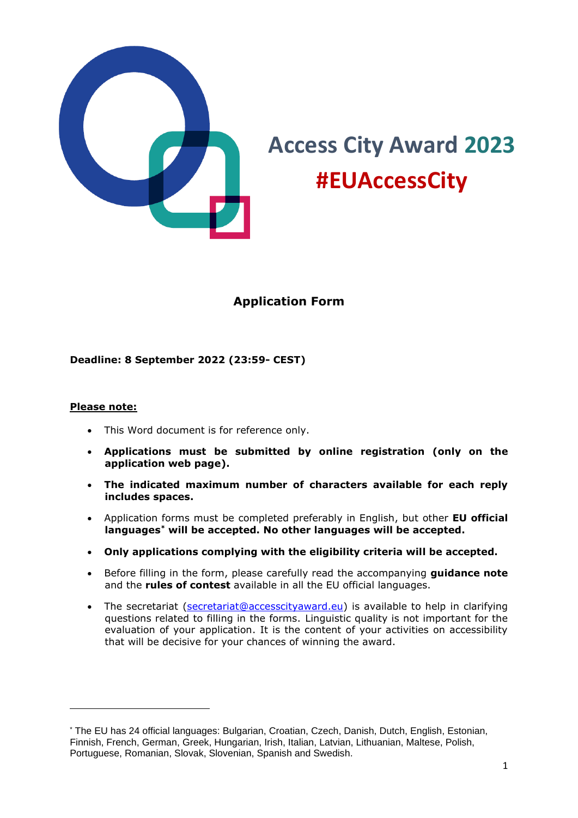

# **Access City Award 2023 #EUAccessCity**

# **Application Form**

#### **Deadline: 8 September 2022 (23:59- CEST)**

#### **Please note:**

- This Word document is for reference only.
- **Applications must be submitted by online registration (only on the application web page).**
- **The indicated maximum number of characters available for each reply includes spaces.**
- Application forms must be completed preferably in English, but other **EU official languages\* will be accepted. No other languages will be accepted.**
- **Only applications complying with the eligibility criteria will be accepted.**
- Before filling in the form, please carefully read the accompanying **guidance note** and the **rules of contest** available in all the EU official languages.
- The secretariat [\(secretariat@accesscityaward.eu\)](mailto:secretariat@accesscityaward.eu) is available to help in clarifying questions related to filling in the forms. Linguistic quality is not important for the evaluation of your application. It is the content of your activities on accessibility that will be decisive for your chances of winning the award.

<sup>\*</sup> The EU has 24 official languages: Bulgarian, Croatian, Czech, Danish, Dutch, English, Estonian, Finnish, French, German, Greek, Hungarian, Irish, Italian, Latvian, Lithuanian, Maltese, Polish, Portuguese, Romanian, Slovak, Slovenian, Spanish and Swedish.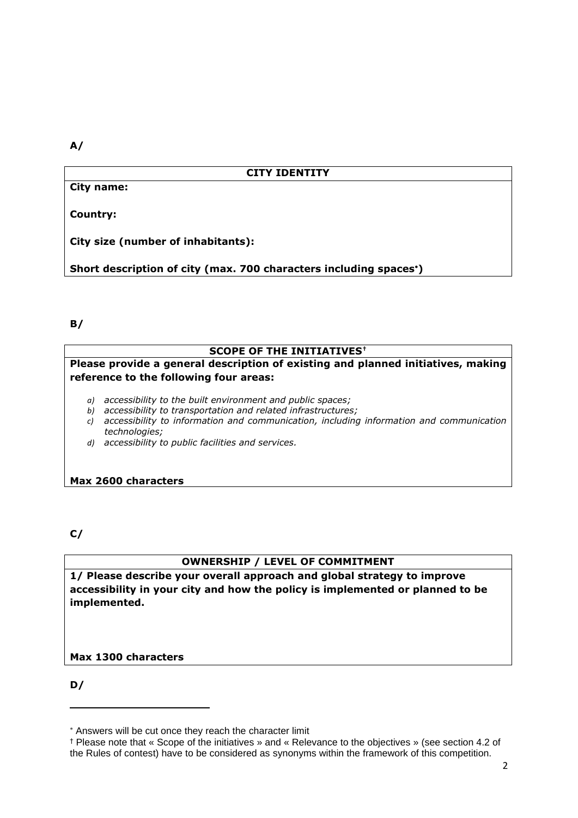**A/**

#### **CITY IDENTITY**

**City name:**

**Country:**

**City size (number of inhabitants):**

**Short description of city (max. 700 characters including spaces)**

**B/**

#### **SCOPE OF THE INITIATIVES†**

**Please provide a general description of existing and planned initiatives, making reference to the following four areas:** 

- *a) accessibility to the built environment and public spaces;*
- *b) accessibility to transportation and related infrastructures;*
- *c) accessibility to information and communication, including information and communication technologies;*
- *d) accessibility to public facilities and services.*

**Max 2600 characters** 

**C/**

#### **OWNERSHIP / LEVEL OF COMMITMENT**

**1/ Please describe your overall approach and global strategy to improve accessibility in your city and how the policy is implemented or planned to be implemented.** 

**Max 1300 characters** 

**D/**

Answers will be cut once they reach the character limit

<sup>†</sup> Please note that « Scope of the initiatives » and « Relevance to the objectives » (see section 4.2 of the Rules of contest) have to be considered as synonyms within the framework of this competition.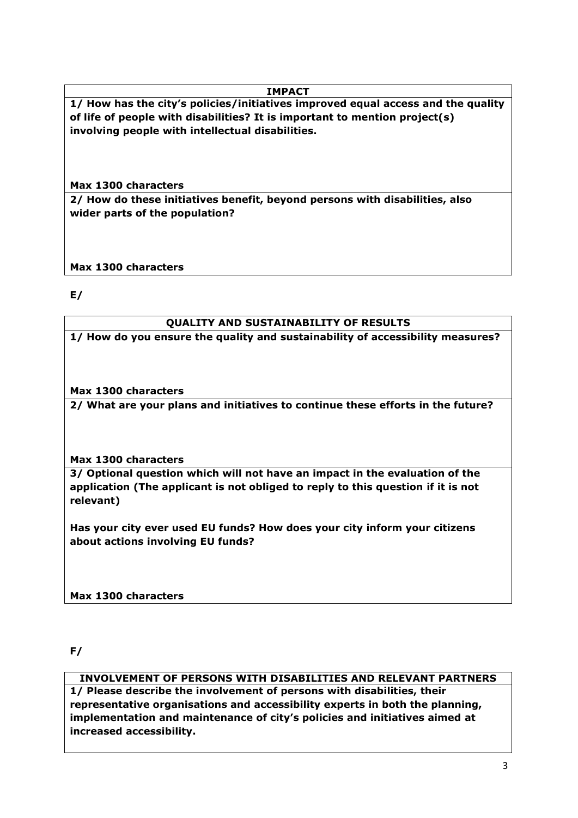# **IMPACT**

**1/ How has the city's policies/initiatives improved equal access and the quality of life of people with disabilities? It is important to mention project(s) involving people with intellectual disabilities.** 

**Max 1300 characters** 

**2/ How do these initiatives benefit, beyond persons with disabilities, also wider parts of the population?** 

**Max 1300 characters** 

**E/**

# **QUALITY AND SUSTAINABILITY OF RESULTS**

**1/ How do you ensure the quality and sustainability of accessibility measures?**

**Max 1300 characters** 

**2/ What are your plans and initiatives to continue these efforts in the future?**

**Max 1300 characters** 

**3/ Optional question which will not have an impact in the evaluation of the application (The applicant is not obliged to reply to this question if it is not relevant)**

**Has your city ever used EU funds? How does your city inform your citizens about actions involving EU funds?**

**Max 1300 characters**

**F/**

# **INVOLVEMENT OF PERSONS WITH DISABILITIES AND RELEVANT PARTNERS**

**1/ Please describe the involvement of persons with disabilities, their representative organisations and accessibility experts in both the planning, implementation and maintenance of city's policies and initiatives aimed at increased accessibility.**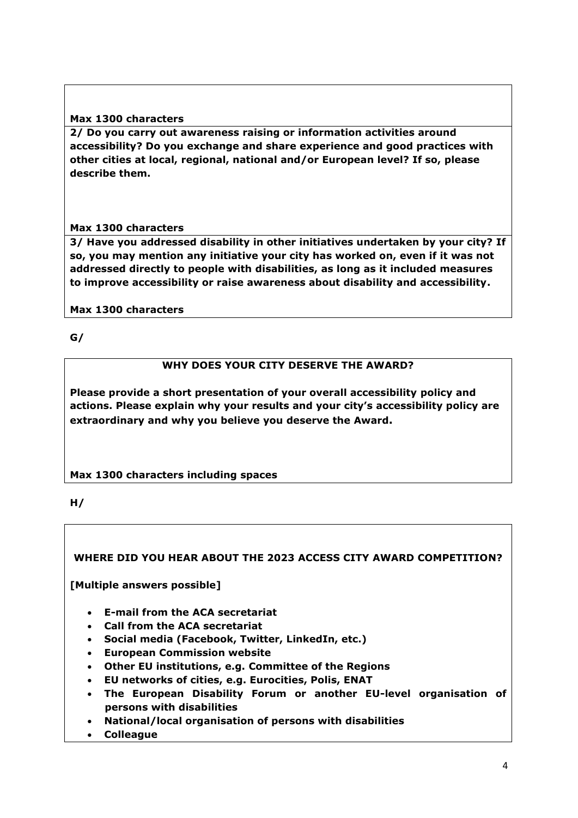### **Max 1300 characters**

**2/ Do you carry out awareness raising or information activities around accessibility? Do you exchange and share experience and good practices with other cities at local, regional, national and/or European level? If so, please describe them.** 

#### **Max 1300 characters**

**3/ Have you addressed disability in other initiatives undertaken by your city? If so, you may mention any initiative your city has worked on, even if it was not addressed directly to people with disabilities, as long as it included measures to improve accessibility or raise awareness about disability and accessibility.**

#### **Max 1300 characters**

**G/**

# **WHY DOES YOUR CITY DESERVE THE AWARD?**

**Please provide a short presentation of your overall accessibility policy and actions. Please explain why your results and your city's accessibility policy are extraordinary and why you believe you deserve the Award.**

# **Max 1300 characters including spaces**

#### **H/**

# **WHERE DID YOU HEAR ABOUT THE 2023 ACCESS CITY AWARD COMPETITION?**

**[Multiple answers possible]**

- **E-mail from the ACA secretariat**
- **Call from the ACA secretariat**
- **Social media (Facebook, Twitter, LinkedIn, etc.)**
- **European Commission website**
- **Other EU institutions, e.g. Committee of the Regions**
- **EU networks of cities, e.g. Eurocities, Polis, ENAT**
- **The European Disability Forum or another EU-level organisation of persons with disabilities**
- **National/local organisation of persons with disabilities**
- **Colleague**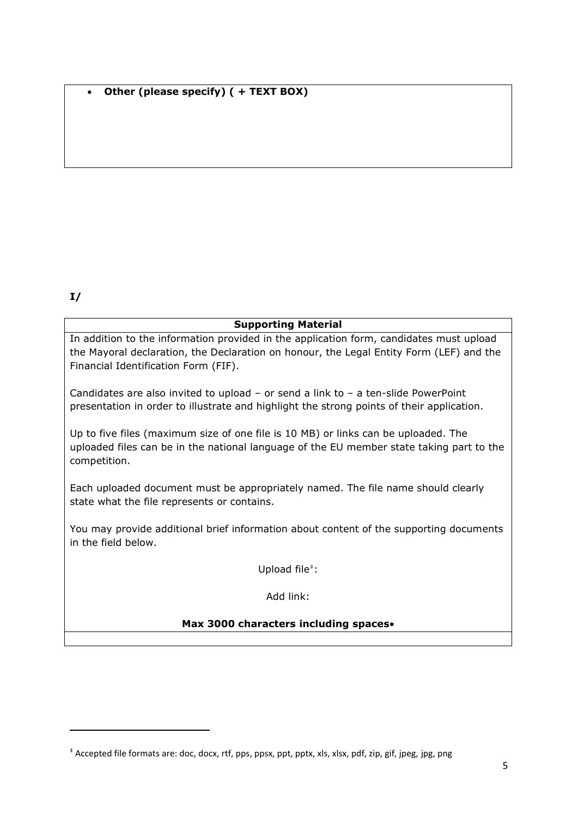# • **Other (please specify) ( + TEXT BOX)**

# **I/**

#### **Supporting Material**

In addition to the information provided in the application form, candidates must upload the Mayoral declaration, the Declaration on honour, the Legal Entity Form (LEF) and the Financial Identification Form (FIF).

Candidates are also invited to upload – or send a link to – a ten-slide PowerPoint presentation in order to illustrate and highlight the strong points of their application.

Up to five files (maximum size of one file is 10 MB) or links can be uploaded. The uploaded files can be in the national language of the EU member state taking part to the competition.

Each uploaded document must be appropriately named. The file name should clearly state what the file represents or contains.

You may provide additional brief information about content of the supporting documents in the field below.

Upload file<sup>#</sup>:

Add link:

# **Max 3000 characters including spaces**

<sup>‡</sup> Accepted file formats are: doc, docx, rtf, pps, ppsx, ppt, pptx, xls, xlsx, pdf, zip, gif, jpeg, jpg, png